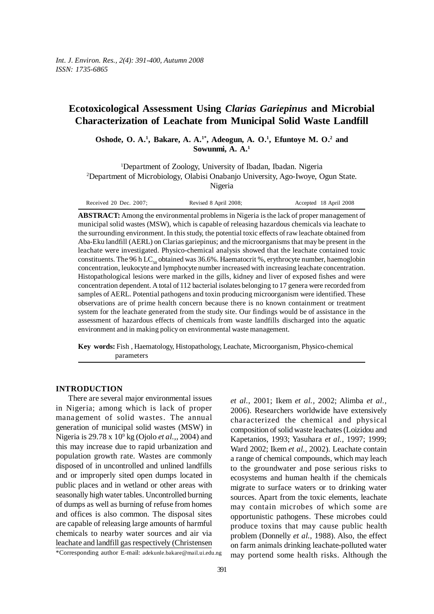# **Ecotoxicological Assessment Using** *Clarias Gariepinus* **and Microbial Characterization of Leachate from Municipal Solid Waste Landfill**

Oshode, O. A.<sup>1</sup>, Bakare, A. A.<sup>1\*</sup>, Adeogun, A. O.<sup>1</sup>, Efuntoye M. O.<sup>2</sup> and **Sowunmi, A. A.1**

<sup>1</sup>Department of Zoology, University of Ibadan, Ibadan. Nigeria 2 Department of Microbiology, Olabisi Onabanjo University, Ago-Iwoye, Ogun State. Nigeria

Received 20 Dec. 2007; Revised 8 April 2008; Accepted 18 April 2008

**ABSTRACT:** Among the environmental problems in Nigeria is the lack of proper management of municipal solid wastes (MSW), which is capable of releasing hazardous chemicals via leachate to the surrounding environment. In this study, the potential toxic effects of raw leachate obtained from Aba-Eku landfill (AERL) on Clarias gariepinus; and the microorganisms that may be present in the leachate were investigated. Physico-chemical analysis showed that the leachate contained toxic constituents. The 96 h LC<sub>50</sub> obtained was 36.6%. Haematocrit %, erythrocyte number, haemoglobin concentration, leukocyte and lymphocyte number increased with increasing leachate concentration. Histopathological lesions were marked in the gills, kidney and liver of exposed fishes and were concentration dependent. A total of 112 bacterial isolates belonging to 17 genera were recorded from samples of AERL. Potential pathogens and toxin producing microorganism were identified. These observations are of prime health concern because there is no known containment or treatment system for the leachate generated from the study site. Our findings would be of assistance in the assessment of hazardous effects of chemicals from waste landfills discharged into the aquatic environment and in making policy on environmental waste management.

**Key words:** Fish , Haematology, Histopathology, Leachate, Microorganism, Physico-chemical parameters

## **INTRODUCTION**

There are several major environmental issues in Nigeria; among which is lack of proper management of solid wastes. The annual generation of municipal solid wastes (MSW) in Nigeria is 29.78 x 109 kg (Ojolo *et al.,*, 2004) and this may increase due to rapid urbanization and population growth rate. Wastes are commonly disposed of in uncontrolled and unlined landfills and or improperly sited open dumps located in public places and in wetland or other areas with seasonally high water tables. Uncontrolled burning of dumps as well as burning of refuse from homes and offices is also common. The disposal sites are capable of releasing large amounts of harmful chemicals to nearby water sources and air via leachate and landfill gas respectively (Christensen

\*Corresponding author E-mail: adekunle.bakare@mail.ui.edu.ng

*et al.*, 2001; Ikem *et al.,* 2002; Alimba *et al.,* 2006). Researchers worldwide have extensively characterized the chemical and physical composition of solid waste leachates (Loizidou and Kapetanios, 1993; Yasuhara *et al.*, 1997; 1999; Ward 2002; Ikem *et al.,* 2002). Leachate contain a range of chemical compounds, which may leach to the groundwater and pose serious risks to ecosystems and human health if the chemicals migrate to surface waters or to drinking water sources. Apart from the toxic elements, leachate may contain microbes of which some are opportunistic pathogens. These microbes could produce toxins that may cause public health problem (Donnelly *et al.,* 1988). Also, the effect on farm animals drinking leachate-polluted water may portend some health risks. Although the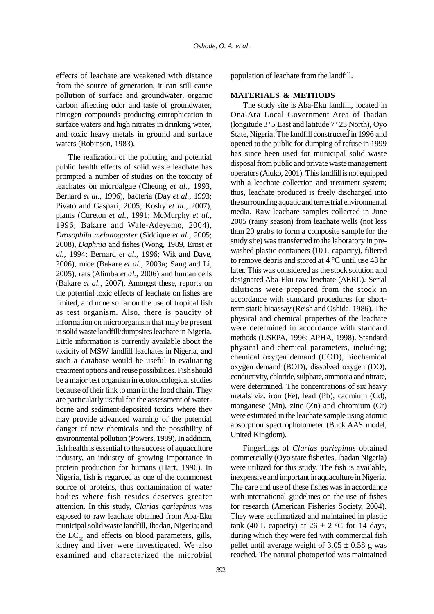effects of leachate are weakened with distance from the source of generation, it can still cause pollution of surface and groundwater, organic carbon affecting odor and taste of groundwater, nitrogen compounds producing eutrophication in surface waters and high nitrates in drinking water, and toxic heavy metals in ground and surface waters (Robinson, 1983).

The realization of the polluting and potential public health effects of solid waste leachate has prompted a number of studies on the toxicity of leachates on microalgae (Cheung *et al.,* 1993, Bernard *et al.,* 1996), bacteria (Day *et al.,* 1993; Pivato and Gaspari, 2005; Koshy *et al.,* 2007), plants (Cureton *et al.,* 1991; McMurphy *et al.,* 1996; Bakare and Wale-Adeyemo, 2004), *Drosophila melanogaster* (Siddique *et al.,* 2005; 2008)*, Daphnia* and fishes (Wong*,* 1989, Ernst *et al.,* 1994; Bernard *et al.,* 1996; Wik and Dave, 2006), mice (Bakare *et al.,* 2003a; Sang and Li, 2005), rats (Alimba *et al.*, 2006) and human cells (Bakare *et al.,* 2007). Amongst these, reports on the potential toxic effects of leachate on fishes are limited, and none so far on the use of tropical fish as test organism. Also, there is paucity of information on microorganism that may be present in solid waste landfill/dumpsites leachate in Nigeria. Little information is currently available about the toxicity of MSW landfill leachates in Nigeria, and such a database would be useful in evaluating treatment options and reuse possibilities. Fish should be a major test organism in ecotoxicological studies because of their link to man in the food chain. They are particularly useful for the assessment of waterborne and sediment-deposited toxins where they may provide advanced warning of the potential danger of new chemicals and the possibility of environmental pollution (Powers, 1989). In addition, fish health is essential to the success of aquaculture industry, an industry of growing importance in protein production for humans (Hart, 1996). In Nigeria, fish is regarded as one of the commonest source of proteins, thus contamination of water bodies where fish resides deserves greater attention. In this study, *Clarias gariepinus* was exposed to raw leachate obtained from Aba-Eku municipal solid waste landfill, Ibadan, Nigeria; and the  $LC_{50}$  and effects on blood parameters, gills, kidney and liver were investigated. We also examined and characterized the microbial

population of leachate from the landfill.

### **MATERIALS & METHODS**

The study site is Aba-Eku landfill, located in Ona-Ara Local Government Area of Ibadan (longitude 3° 5 East and latitude 7° 23 North), Oyo State, Nigeria. The landfill constructed in 1996 and opened to the public for dumping of refuse in 1999 has since been used for municipal solid waste disposal from public and private waste management operators (Aluko, 2001). This landfill is not equipped with a leachate collection and treatment system; thus, leachate produced is freely discharged into the surrounding aquatic and terrestrial environmental media. Raw leachate samples collected in June 2005 (rainy season) from leachate wells (not less than 20 grabs to form a composite sample for the study site) was transferred to the laboratory in prewashed plastic containers (10 L capacity), filtered to remove debris and stored at 4 °C until use 48 hr later. This was considered as the stock solution and designated Aba-Eku raw leachate (AERL). Serial dilutions were prepared from the stock in accordance with standard procedures for shortterm static bioassay (Reish and Oshida, 1986). The physical and chemical properties of the leachate were determined in accordance with standard methods (USEPA, 1996; APHA, 1998). Standard physical and chemical parameters, including; chemical oxygen demand (COD), biochemical oxygen demand (BOD), dissolved oxygen (DO), conductivity, chloride, sulphate, ammonia and nitrate, were determined. The concentrations of six heavy metals viz. iron (Fe), lead (Pb), cadmium (Cd), manganese (Mn), zinc (Zn) and chromium (Cr) were estimated in the leachate sample using atomic absorption spectrophotometer (Buck AAS model, United Kingdom).

Fingerlings of *Clarias gariepinus* obtained commercially (Oyo state fisheries, Ibadan Nigeria) were utilized for this study. The fish is available, inexpensive and important in aquaculture in Nigeria. The care and use of these fishes was in accordance with international guidelines on the use of fishes for research (American Fisheries Society, 2004). They were acclimatized and maintained in plastic tank (40 L capacity) at  $26 \pm 2$  °C for 14 days, during which they were fed with commercial fish pellet until average weight of  $3.05 \pm 0.58$  g was reached. The natural photoperiod was maintained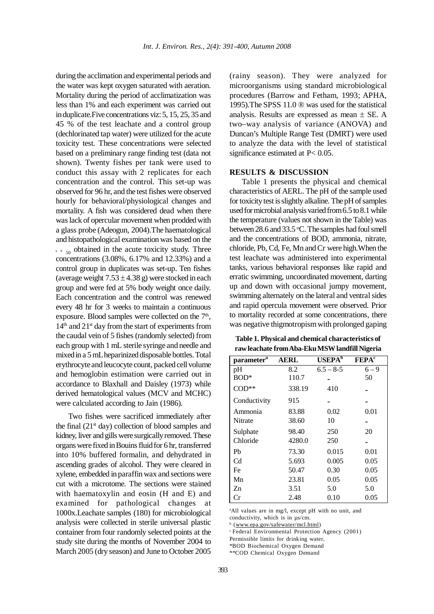during the acclimation and experimental periods and the water was kept oxygen saturated with aeration. Mortality during the period of acclimatization was less than 1% and each experiment was carried out in duplicate.Five concentrations viz: 5, 15, 25, 35 and 45 % of the test leachate and a control group (dechlorinated tap water) were utilized for the acute toxicity test. These concentrations were selected based on a preliminary range finding test (data not shown). Twenty fishes per tank were used to conduct this assay with 2 replicates for each concentration and the control. This set-up was observed for 96 hr, and the test fishes were observed hourly for behavioral/physiological changes and mortality. A fish was considered dead when there was lack of opercular movement when prodded with a glass probe (Adeogun, 2004).The haematological and histopathological examination was based on the  $\frac{1}{2}$   $\frac{1}{2}$  obtained in the acute toxicity study. Three concentrations (3.08%, 6.17% and 12.33%) and a control group in duplicates was set-up. Ten fishes (average weight  $7.53 \pm 4.38$  g) were stocked in each group and were fed at 5% body weight once daily. Each concentration and the control was renewed every 48 hr for 3 weeks to maintain a continuous exposure. Blood samples were collected on the  $7<sup>th</sup>$ ,  $14<sup>th</sup>$  and  $21<sup>st</sup>$  day from the start of experiments from the caudal vein of 5 fishes (randomly selected) from each group with 1 mL sterile syringe and needle and mixed in a 5 mL heparinized disposable bottles. Total erythrocyte and leucocyte count, packed cell volume and hemoglobin estimation were carried out in accordance to Blaxhall and Daisley (1973) while derived hematological values (MCV and MCHC) were calculated according to Jain (1986).

Two fishes were sacrificed immediately after the final  $(21<sup>st</sup> day)$  collection of blood samples and kidney, liver and gills were surgically removed. These organs were fixed in Bouins fluid for 6 hr, transferred into 10% buffered formalin, and dehydrated in ascending grades of alcohol. They were cleared in xylene, embedded in paraffin wax and sections were cut with a microtome. The sections were stained with haematoxylin and eosin (H and E) and examined for pathological changes at 1000x.Leachate samples (180) for microbiological analysis were collected in sterile universal plastic container from four randomly selected points at the study site during the months of November 2004 to March 2005 (dry season) and June to October 2005

(rainy season). They were analyzed for microorganisms using standard microbiological procedures (Barrow and Fetham, 1993; APHA, 1995).The SPSS 11.0 ® was used for the statistical analysis. Results are expressed as mean  $\pm$  SE. A two–way analysis of variance (ANOVA) and Duncan's Multiple Range Test (DMRT) were used to analyze the data with the level of statistical significance estimated at P< 0.05.

# **RESULTS & DISCUSSION**

Table 1 presents the physical and chemical characteristics of AERL. The pH of the sample used for toxicity test is slightly alkaline. The pH of samples used for microbial analysis varied from 6.5 to 8.1 while the temperature (values not shown in the Table) was between 28.6 and 33.5 °C. The samples had foul smell and the concentrations of BOD, ammonia, nitrate, chloride, Pb, Cd, Fe, Mn and Cr were high.When the test leachate was administered into experimental tanks, various behavioral responses like rapid and erratic swimming, uncoordinated movement, darting up and down with occasional jumpy movement, swimming alternately on the lateral and ventral sides and rapid opercula movement were observed. Prior to mortality recorded at some concentrations, there was negative thigmotropism with prolonged gaping

**Table 1. Physical and chemical characteristics of raw leachate from Aba-Eku MSW landfill Nigeria**

|                        | <b>AERL</b> | $USEPA$ <sup>b</sup> | <b>FEPA</b> <sup>c</sup> |
|------------------------|-------------|----------------------|--------------------------|
| parameter <sup>a</sup> |             |                      |                          |
| pH                     | 8.2         | $6.5 - 8-5$          | $6 - 9$                  |
| $BOD^*$                | 110.7       |                      | 50                       |
| $COD**$                | 338.19      | 410                  |                          |
| Conductivity           | 915         |                      |                          |
| Ammonia                | 83.88       | 0.02                 | 0.01                     |
| Nitrate                | 38.60       | 10                   |                          |
| Sulphate               | 98.40       | 250                  | 20                       |
| Chloride               | 4280.0      | 250                  |                          |
| Ph                     | 73.30       | 0.015                | 0.01                     |
| Cd                     | 5.693       | 0.005                | 0.05                     |
| Fe                     | 50.47       | 0.30                 | 0.05                     |
| Mn                     | 23.81       | 0.05                 | 0.05                     |
| Zn                     | 3.51        | 5.0                  | 5.0                      |
| Сr                     | 2.48        | 0.10                 | 0.05                     |

a All values are in mg/l, except pH with no unit, and conductivity, which is in µs/cm.

<sup>b</sup> (www.epa.gov/safewater/mcl.html)

c Federal Environmental Protection Agency (2001)

Permissible limits for drinking water,

\*BOD Biochemical Oxygen Demand

\*\*COD Chemical Oxygen Demand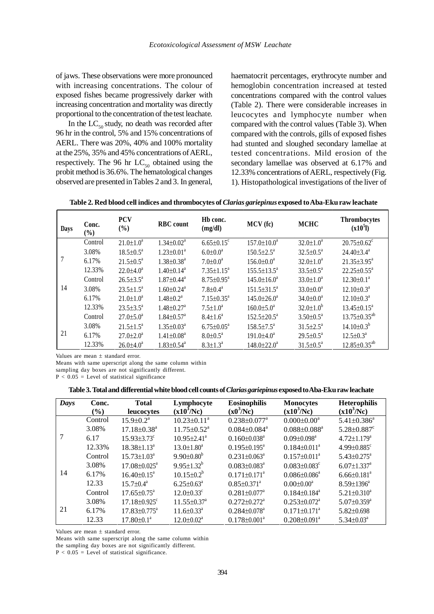of jaws. These observations were more pronounced with increasing concentrations. The colour of exposed fishes became progressively darker with increasing concentration and mortality was directly proportional to the concentration of the test leachate.

In the  $LC_{50}$  study, no death was recorded after 96 hr in the control, 5% and 15% concentrations of AERL. There was 20%, 40% and 100% mortality at the 25%, 35% and 45% concentrations of AERL, respectively. The 96 hr  $LC_{50}$  obtained using the probit method is 36.6%. The hematological changes observed are presented in Tables 2 and 3. In general,

haematocrit percentages, erythrocyte number and hemoglobin concentration increased at tested concentrations compared with the control values (Table 2). There were considerable increases in leucocytes and lymphocyte number when compared with the control values (Table 3). When compared with the controls, gills of exposed fishes had stunted and sloughed secondary lamellae at tested concentrations. Mild erosion of the secondary lamellae was observed at 6.17% and 12.33% concentrations of AERL, respectively (Fig. 1). Histopathological investigations of the liver of

**Table 2. Red blood cell indices and thrombocytes of** *Clarias gariepinus* **exposed to Aba-Eku raw leachate**

| Days | Conc.<br>(%) | <b>PCV</b><br>(%)         | <b>RBC</b> count             | Hb conc.<br>(mg/dl)          | MCV (fc)                    | <b>MCHC</b>               | <b>Thrombocytes</b><br>$(x10^5l)$ |
|------|--------------|---------------------------|------------------------------|------------------------------|-----------------------------|---------------------------|-----------------------------------|
|      | Control      | $21.0 \pm 1.0^a$          | $1.34 \pm 0.02^a$            | $6.65 \pm 0.15$ <sup>c</sup> | $157.0 \pm 10.0^a$          | $32.0 \pm 1.0^a$          | $20.75 \pm 0.62$ <sup>c</sup>     |
|      | 3.08%        | $18.5 \pm 0.5^{\text{a}}$ | $1.23 \pm 0.01^a$            | $6.0 \pm 0.0^a$              | $150.5 \pm 2.5^{\text{a}}$  | $32.5 \pm 0.5^{\text{a}}$ | $24.40 \pm 3.4^{\text{a}}$        |
|      | 6.17%        | $21.5 \pm 0.5^{\text{a}}$ | $1.38 \pm 0.38^a$            | $7.0 \pm 0.0^a$              | $156.0 \pm 0.0^a$           | $32.0 \pm 1.0^a$          | $21.35 \pm 3.95^a$                |
|      | 12.33%       | $22.0 \pm 4.0^a$          | $1.40 \pm 0.14^a$            | $7.35 \pm 1.15^a$            | $155.5 \pm 13.5^a$          | $33.5 \pm 0.5^{\text{a}}$ | $22.25 \pm 0.55^a$                |
|      | Control      | $26.5 \pm 3.5^{\circ}$    | $1.87 \pm 0.44$ <sup>a</sup> | $8.75 \pm 0.95^{\text{a}}$   | $145.0 \pm 16.0^a$          | $33.0 \pm 1.0^a$          | $12.30 \pm 0.1^a$                 |
| 14   | 3.08%        | $23.5 \pm 1.5^a$          | $1.60 \pm 0.24$ <sup>a</sup> | $7.8 \pm 0.4^a$              | $151.5 \pm 31.5^a$          | $33.0 \pm 0.0^a$          | $12.10 \pm 0.3^{\text{a}}$        |
|      | 6.17%        | $21.0 \pm 1.0^a$          | $1.48 \pm 0.2^a$             | $7.15 \pm 0.35$ <sup>a</sup> | $145.0 \pm 26.0^a$          | $34.0 \pm 0.0^a$          | $12.10 \pm 0.3^a$                 |
|      | 12.33%       | $23.5 \pm 3.5^{\circ}$    | $1.48 \pm 0.27$ <sup>a</sup> | $7.5 \pm 1.0^a$              | $160.0 \pm 5.0^{\circ}$     | $32.0 \pm 1.0^b$          | $13.45 \pm 0.15^a$                |
|      | Control      | $27.0 \pm 5.0^a$          | $1.84 \pm 0.57$ <sup>a</sup> | $8.4 \pm 1.6^a$              | $152.5 \pm 20.5^{\text{a}}$ | $3.50 \pm 0.5^{\text{a}}$ | $13.75 \pm 0.35^{ab}$             |
|      | 3.08%        | $21.5 \pm 1.5^a$          | $1.35 \pm 0.03^{\text{a}}$   | $6.75 \pm 0.05^{\text{a}}$   | $158.5 \pm 7.5^{\circ}$     | $31.5 \pm 2.5^{\circ}$    | $14.10\pm0.3^{b}$                 |
| 21   | 6.17%        | $27.0 \pm 2.0^a$          | $1.41 \pm 0.08^a$            | $8.0 \pm 0.5^{\text{a}}$     | $191.0\pm4.0^a$             | $29.5 \pm 0.5^a$          | $12.5 \pm 0.3^{\text{a}}$         |
|      | 12.33%       | $26.0 \pm 4.0^a$          | $1.83 \pm 0.54$ <sup>a</sup> | $8.3 \pm 1.3^a$              | $148.0 \pm 22.0^a$          | $31.5 \pm 0.5^a$          | $12.85 \pm 0.35^{ab}$             |

Values are mean ± standard error.

Means with same uperscript along the same column within

sampling day boxes are not significantly different.

 $P < 0.05$  = Level of statistical significance

| Days | Conc.<br>$(\%)$ | <b>Total</b><br>leucocytes     | Lymphocyte<br>(x10 <sup>3</sup> /Nc) | <b>Eosinophilis</b><br>$(x0^3/Nc)$ | <b>Monocytes</b><br>$(x10^3/Nc)$ | <b>Heterophilis</b><br>$(x10^3/Nc)$ |
|------|-----------------|--------------------------------|--------------------------------------|------------------------------------|----------------------------------|-------------------------------------|
|      | Control         | $15.9 \pm 0.2^a$               | $10.23 \pm 0.11^a$                   | $0.238 \pm 0.077$ <sup>a</sup>     | $0.000 \pm 0.00^a$               | $5.41 \pm 0.386^a$                  |
|      | 3.08%           | $17.18 \pm 0.38$ <sup>a</sup>  | $11.75 \pm 0.52$ <sup>a</sup>        | $0.084 \pm 0.084$ <sup>a</sup>     | $0.088 \pm 0.088$ <sup>a</sup>   | $5.28 \pm 0.887$ <sup>c</sup>       |
|      | 6.17            | $15.93 \pm 3.73$ <sup>c</sup>  | $10.95 \pm 2.41$ <sup>a</sup>        | $0.160 \pm 0.038$ <sup>a</sup>     | $0.09 \pm 0.098$ <sup>a</sup>    | $4.72 \pm 1.179$ <sup>a</sup>       |
|      | 12.33%          | $18.38 \pm 1.13^a$             | $13.0 \pm 1.80^a$                    | $0.195 \pm 0.195^{\text{a}}$       | $0.184 \pm 0.011^a$              | $4.99 \pm 0.885$ <sup>c</sup>       |
|      | Control         | $15.73 \pm 1.03^a$             | $9.90 \pm 0.80^b$                    | $0.231 \pm 0.063^a$                | $0.157 \pm 0.011^a$              | $5.43 \pm 0.275^a$                  |
|      | 3.08%           | $17.08 \pm 0.025^{\text{a}}$   | $9.95 \pm 1.32^b$                    | $0.083 \pm 0.083$ <sup>a</sup>     | $0.083 \pm 0.083$ <sup>c</sup>   | $6.07 \pm 1.337^{\text{a}}$         |
| 14   | 6.17%           | $16.40\pm0.15^{\text{a}}$      | $10.15 \pm 0.2^b$                    | $0.171 \pm 0.171$ <sup>a</sup>     | $0.086 \pm 0.086^a$              | $6.66 \pm 0.181$ <sup>a</sup>       |
|      | 12.33           | $15.7 \pm 0.4^a$               | $6.25 \pm 0.63^{\text{a}}$           | $0.85 \pm 0.371$ <sup>a</sup>      | $0.00 \pm 0.00^a$                | $8.59 \pm 1396^a$                   |
|      | Control         | $17.65 \pm 0.75^{\circ}$       | $12.0 \pm 0.33$ <sup>c</sup>         | $0.281 \pm 0.077$ <sup>a</sup>     | $0.184 \pm 0.184$ <sup>a</sup>   | $5.21 \pm 0.310^a$                  |
|      | 3.08%           | $17.18 \pm 0.925$ <sup>c</sup> | $11.55 \pm 0.37$ <sup>a</sup>        | $0.272 \pm 0.272$ <sup>a</sup>     | $0.253 \pm 0.072$ <sup>a</sup>   | $5.07 \pm 0.359^{\text{a}}$         |
| 21   | 6.17%           | 17.83±0.775 <sup>a</sup>       | $11.6 \pm 0.33$ <sup>a</sup>         | $0.284 \pm 0.078$ <sup>a</sup>     | $0.171 \pm 0.171$ <sup>a</sup>   | 5.82±0.698                          |
|      | 12.33           | $17.80 \pm 0.1^a$              | $12.0 \pm 0.02^a$                    | $0.178 \pm 0.001^a$                | $0.208 \pm 0.091$ <sup>a</sup>   | $5.34 \pm 0.03^a$                   |

Values are mean ± standard error.

Means with same superscript along the same column within

the sampling day boxes are not significantly different.

 $P < 0.05$  = Level of statistical significance.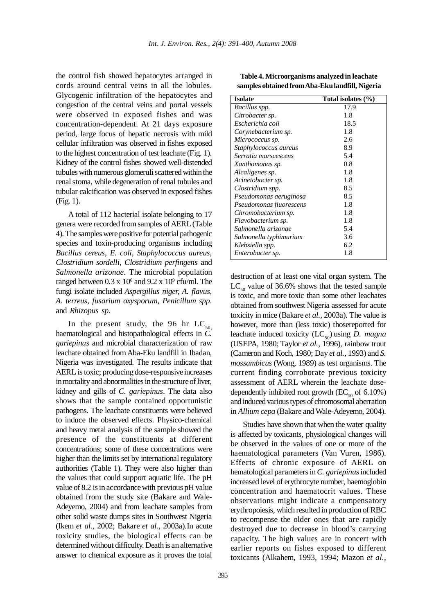the control fish showed hepatocytes arranged in cords around central veins in all the lobules. Glycogenic infiltration of the hepatocytes and congestion of the central veins and portal vessels were observed in exposed fishes and was concentration-dependent. At 21 days exposure period, large focus of hepatic necrosis with mild cellular infiltration was observed in fishes exposed to the highest concentration of test leachate (Fig. 1). Kidney of the control fishes showed well-distended tubules with numerous glomeruli scattered within the renal stoma, while degeneration of renal tubules and tubular calcification was observed in exposed fishes (Fig. 1).

A total of 112 bacterial isolate belonging to 17 genera were recorded from samples of AERL (Table 4). The samples were positive for potential pathogenic species and toxin-producing organisms including *Bacillus cereus*, *E. coli*, *Staphylococcus aureus, Clostridium sordelli, Clostridium perfingens* and *Salmonella arizonae*. The microbial population ranged between  $0.3 \times 10^6$  and  $9.2 \times 10^9$  cfu/ml. The fungi isolate included *Aspergillus niger, A. flavus, A. terreus, fusarium oxysporum, Penicillum spp*. and *Rhizopus sp.*

In the present study, the 96 hr  $LC_{50}$ haematological and histopathological effects in *C. gariepinus* and microbial characterization of raw leachate obtained from Aba-Eku landfill in Ibadan, Nigeria was investigated. The results indicate that AERL is toxic; producing dose-responsive increases in mortality and abnormalities in the structure of liver, kidney and gills of *C. gariepinus*. The data also shows that the sample contained opportunistic pathogens. The leachate constituents were believed to induce the observed effects. Physico-chemical and heavy metal analysis of the sample showed the presence of the constituents at different concentrations; some of these concentrations were higher than the limits set by international regulatory authorities (Table 1). They were also higher than the values that could support aquatic life. The pH value of 8.2 is in accordance with previous pH value obtained from the study site (Bakare and Wale-Adeyemo, 2004) and from leachate samples from other solid waste dumps sites in Southwest Nigeria (Ikem *et al.,* 2002; Bakare *et al.,* 2003a).In acute toxicity studies, the biological effects can be determined without difficulty. Death is an alternative answer to chemical exposure as it proves the total

| <b>Isolate</b>          | Total isolates (%) |
|-------------------------|--------------------|
| Bacillus spp.           | 17.9               |
| Citrobacter sp.         | 1.8                |
| Escherichia coli        | 18.5               |
| Corynebacterium sp.     | 1.8                |
| Micrococcus sp.         | 2.6                |
| Staphylococcus aureus   | 8.9                |
| Serratia marscescens    | 5.4                |
| Xanthomonas sp.         | 0.8                |
| Alcaligenes sp.         | 1.8                |
| Acinetobacter sp.       | 1.8                |
| Clostridium spp.        | 8.5                |
| Pseudomonas aeruginosa  | 8.5                |
| Pseudomonas fluorescens | 1.8                |
| Chromobacterium sp.     | 1.8                |
| Flavobacterium sp.      | 1.8                |
| Salmonella arizonae     | 5.4                |
| Salmonella typhimurium  | 3.6                |
| Klebsiella spp.         | 6.2                |
| Enterobacter sp.        | 1.8                |

**Table 4. Microorganisms analyzed in leachate samples obtained from Aba-Eku landfill, Nigeria**

destruction of at least one vital organ system. The  $LC_{so}$  value of 36.6% shows that the tested sample is toxic, and more toxic than some other leachates obtained from southwest Nigeria assessed for acute toxicity in mice (Bakare *et al.,* 2003a). The value is however, more than (less toxic) thosereported for leachate induced toxicity  $(LC_{50})$  using *D. magna* (USEPA, 1980; Taylor *et al.,* 1996), rainbow trout (Cameron and Koch, 1980; Day *et al.,* 1993) and *S. mossambicus* (Wong, 1989) as test organisms. The current finding corroborate previous toxicity assessment of AERL wherein the leachate dosedependently inhibited root growth  $(EC_{50}$  of 6.10%) and induced various types of chromosomal aberration in *Allium cepa* (Bakare and Wale-Adeyemo, 2004).

Studies have shown that when the water quality is affected by toxicants, physiological changes will be observed in the values of one or more of the haematological parameters (Van Vuren, 1986). Effects of chronic exposure of AERL on hematological parameters in *C. gariepinus* included increased level of erythrocyte number, haemoglobin concentration and haematocrit values. These observations might indicate a compensatory erythropoiesis, which resulted in production of RBC to recompense the older ones that are rapidly destroyed due to decrease in blood's carrying capacity. The high values are in concert with earlier reports on fishes exposed to different toxicants (Alkahem, 1993, 1994; Mazon *et al.,*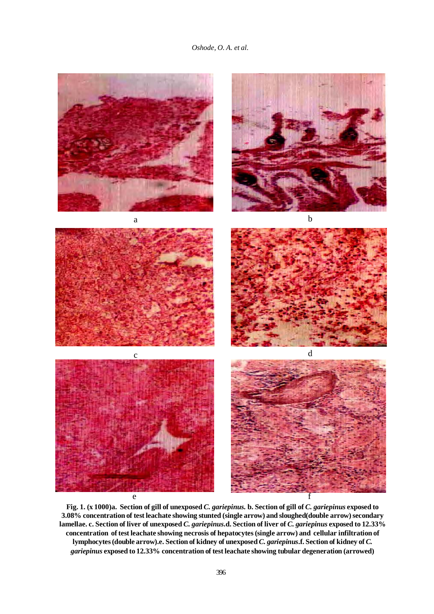*Oshode, O. A. et al.*



**Fig. 1. (x 1000)a. Section of gill of unexposed** *C. gariepinus.* **b. Section of gill of** *C. gariepinus* **exposed to 3.08% concentration of test leachate showing stunted (single arrow) and sloughed(double arrow) secondary lamellae. c. Section of liver of unexposed** *C. gariepinus***.d. Section of liver of** *C. gariepinus* **exposed to 12.33% concentration of test leachate showing necrosis of hepatocytes (single arrow) and cellular infiltration of lymphocytes (double arrow).e. Section of kidney of unexposed** *C. gariepinus***.f. Section of kidney of** *C. gariepinus* **exposed to 12.33% concentration of test leachate showing tubular degeneration (arrowed)**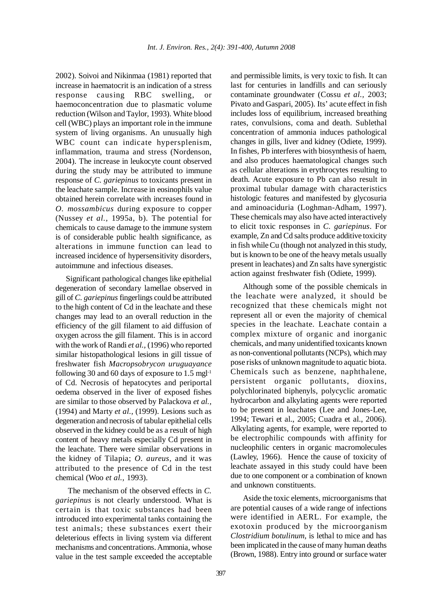2002). Soivoi and Nikinmaa (1981) reported that increase in haematocrit is an indication of a stress response causing RBC swelling, or haemoconcentration due to plasmatic volume reduction (Wilson and Taylor, 1993). White blood cell (WBC) plays an important role in the immune system of living organisms. An unusually high WBC count can indicate hypersplenism, inflammation, trauma and stress (Nordenson, 2004). The increase in leukocyte count observed during the study may be attributed to immune response of *C. gariepinus* to toxicants present in the leachate sample. Increase in eosinophils value obtained herein correlate with increases found in *O. mossambicus* during exposure to copper (Nussey *et al.,* 1995a, b). The potential for chemicals to cause damage to the immune system is of considerable public health significance, as alterations in immune function can lead to increased incidence of hypersensitivity disorders, autoimmune and infectious diseases.

Significant pathological changes like epithelial degeneration of secondary lamellae observed in gill of *C. gariepinus* fingerlings could be attributed to the high content of Cd in the leachate and these changes may lead to an overall reduction in the efficiency of the gill filament to aid diffusion of oxygen across the gill filament. This is in accord with the work of Randi *et al.,* (1996) who reported similar histopathological lesions in gill tissue of freshwater fish *Macropsobrycon uruguayance* following 30 and 60 days of exposure to  $1.5 \text{ mgl}^{-1}$ of Cd. Necrosis of hepatocytes and periportal oedema observed in the liver of exposed fishes are similar to those observed by Palackova *et al.,* (1994) and Marty *et al.,* (1999). Lesions such as degeneration and necrosis of tabular epithelial cells observed in the kidney could be as a result of high content of heavy metals especially Cd present in the leachate. There were similar observations in the kidney of Tilapia; *O. aureus,* and it was attributed to the presence of Cd in the test chemical (Woo *et al.,* 1993).

The mechanism of the observed effects in *C. gariepinus* is not clearly understood. What is certain is that toxic substances had been introduced into experimental tanks containing the test animals; these substances exert their deleterious effects in living system via different mechanisms and concentrations. Ammonia, whose value in the test sample exceeded the acceptable and permissible limits, is very toxic to fish. It can last for centuries in landfills and can seriously contaminate groundwater (Cossu *et al.,* 2003; Pivato and Gaspari, 2005). Its' acute effect in fish includes loss of equilibrium, increased breathing rates, convulsions, coma and death. Sublethal concentration of ammonia induces pathological changes in gills, liver and kidney (Odiete, 1999). In fishes, Pb interferes with biosynthesis of haem, and also produces haematological changes such as cellular alterations in erythrocytes resulting to death. Acute exposure to Pb can also result in proximal tubular damage with characteristics histologic features and manifested by glycosuria and aminoaciduria (Loghman-Adham, 1997). These chemicals may also have acted interactively to elicit toxic responses in *C. gariepinus*. For example, Zn and Cd salts produce additive toxicity in fish while Cu (though not analyzed in this study, but is known to be one of the heavy metals usually present in leachates) and Zn salts have synergistic action against freshwater fish (Odiete, 1999).

Although some of the possible chemicals in the leachate were analyzed, it should be recognized that these chemicals might not represent all or even the majority of chemical species in the leachate. Leachate contain a complex mixture of organic and inorganic chemicals, and many unidentified toxicants known as non-conventional pollutants (NCPs), which may pose risks of unknown magnitude to aquatic biota. Chemicals such as benzene, naphthalene, persistent organic pollutants, dioxins, polychlorinated biphenyls, polycyclic aromatic hydrocarbon and alkylating agents were reported to be present in leachates (Lee and Jones-Lee, 1994; Tewari et al., 2005; Cuadra et al., 2006). Alkylating agents, for example, were reported to be electrophilic compounds with affinity for nucleophilic centers in organic macromolecules (Lawley, 1966). Hence the cause of toxicity of leachate assayed in this study could have been due to one component or a combination of known and unknown constituents.

Aside the toxic elements, microorganisms that are potential causes of a wide range of infections were identified in AERL. For example, the exotoxin produced by the microorganism *Clostridium botulinum*, is lethal to mice and has been implicated in the cause of many human deaths (Brown, 1988). Entry into ground or surface water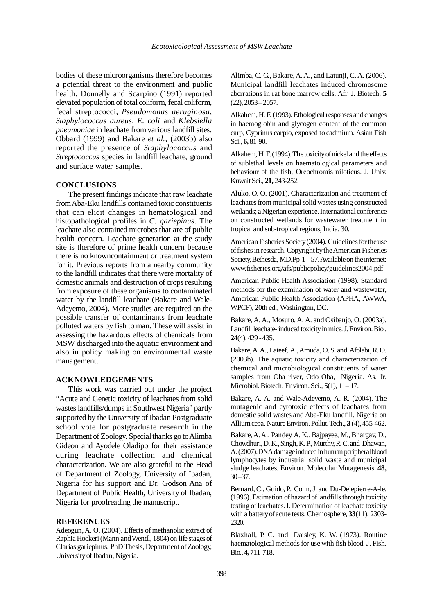bodies of these microorganisms therefore becomes a potential threat to the environment and public health. Donnelly and Scarpino (1991) reported elevated population of total coliform, fecal coliform, fecal streptococci, *Pseudomonas aeruginosa*, *Staphylococcus aureus*, *E. coli* and *Klebsiella pneumoniae* in leachate from various landfill sites. Obbard (1999) and Bakare *et al.,* (2003b) also reported the presence of *Staphylococcus* and *Streptococcus* species in landfill leachate, ground and surface water samples.

#### **CONCLUSIONS**

The present findings indicate that raw leachate from Aba-Eku landfills contained toxic constituents that can elicit changes in hematological and histopathological profiles in *C. gariepinus*. The leachate also contained microbes that are of public health concern. Leachate generation at the study site is therefore of prime health concern because there is no knowncontainment or treatment system for it. Previous reports from a nearby community to the landfill indicates that there were mortality of domestic animals and destruction of crops resulting from exposure of these organisms to contaminated water by the landfill leachate (Bakare and Wale-Adeyemo, 2004). More studies are required on the possible transfer of contaminants from leachate polluted waters by fish to man. These will assist in assessing the hazardous effects of chemicals from MSW discharged into the aquatic environment and also in policy making on environmental waste management.

# **ACKNOWLEDGEMENTS**

This work was carried out under the project "Acute and Genetic toxicity of leachates from solid wastes landfills/dumps in Southwest Nigeria" partly supported by the University of Ibadan Postgraduate school vote for postgraduate research in the Department of Zoology. Special thanks go to Alimba Gideon and Ayodele Oladipo for their assistance during leachate collection and chemical characterization. We are also grateful to the Head of Department of Zoology, University of Ibadan, Nigeria for his support and Dr. Godson Ana of Department of Public Health, University of Ibadan, Nigeria for proofreading the manuscript.

#### **REFERENCES**

Adeogun, A. O. (2004). Effects of methanolic extract of Raphia Hookeri (Mann and Wendl, 1804) on life stages of Clarias gariepinus. PhD Thesis, Department of Zoology, University of Ibadan, Nigeria.

Alimba, C. G., Bakare, A. A., and Latunji, C. A. (2006). Municipal landfill leachates induced chromosome aberrations in rat bone marrow cells. Afr. J. Biotech. **5**  $(22), 2053 - 2057.$ 

Alkahem, H. F. (1993). Ethological responses and changes in haemoglobin and glycogen content of the common carp, Cyprinus carpio, exposed to cadmium. Asian Fish Sci., **6,** 81-90.

Alkahem, H. F. (1994). The toxicity of nickel and the effects of sublethal levels on haematological parameters and behaviour of the fish, Oreochromis niloticus. J. Univ. Kuwait Sci., **21,** 243-252.

Aluko, O. O. (2001). Characterization and treatment of leachates from municipal solid wastes using constructed wetlands; a Nigerian experience. International conference on constructed wetlands for wastewater treatment in tropical and sub-tropical regions, India. 30.

American Fisheries Society (2004). Guidelines for the use of fishes in research. Copyright by the American Fisheries Society, Bethesda, MD.Pp  $1 - 57$ . Available on the internet: www.fisheries.org/afs/publicpolicy/guidelines2004.pdf

American Public Health Association (1998). Standard methods for the examination of water and wastewater, American Public Health Association (APHA, AWWA, WPCF), 20th ed., Washington, DC.

Bakare, A. A., Mosuro, A. A. and Osibanjo, O. (2003a). Landfill leachate- induced toxicity in mice. J. Environ. Bio., **24**(4), 429 - 435.

Bakare, A. A., Lateef, A., Amuda, O. S. and Afolabi, R. O. (2003b). The aquatic toxicity and characterization of chemical and microbiological constituents of water samples from Oba river, Odo Oba, Nigeria. As. Jr. Microbiol. Biotech. Environ. Sci., **5**(1), 11– 17.

Bakare, A. A. and Wale-Adeyemo, A. R. (2004). The mutagenic and cytotoxic effects of leachates from domestic solid wastes and Aba-Eku landfill, Nigeria on Allium cepa. Nature Environ. Pollut. Tech., **3** (4), 455-462.

Bakare, A. A., Pandey, A. K., Bajpayee, M., Bhargav, D., Chowdhuri, D. K., Singh, K. P., Murthy, R. C. and Dhawan, A. (2007).DNA damage induced in human peripheral blood lymphocytes by industrial solid waste and municipal sludge leachates. Environ. Molecular Mutagenesis. **48,**  $30 - 37$ .

Bernard, C., Guido, P., Colin, J. and Du-Delepierre-A-le. (1996). Estimation of hazard of landfills through toxicity testing of leachates. I. Determination of leachate toxicity with a battery of acute tests. Chemosphere, **33**(11), 2303- 2320.

Blaxhall, P. C. and Daisley, K. W. (1973). Routine haematological methods for use with fish blood J. Fish. Bio., **4,** 711-718.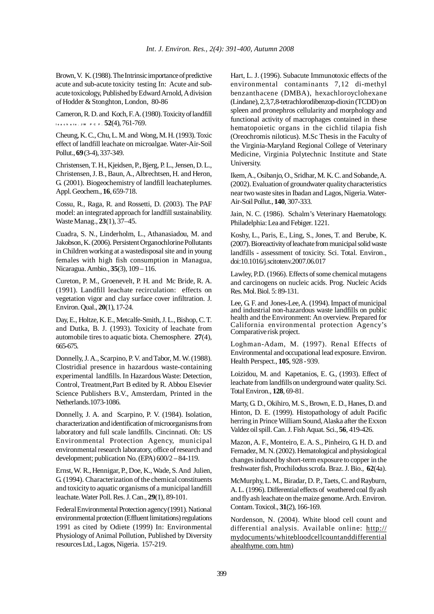Brown, V. K. (1988). The Intrinsic importance of predictive acute and sub-acute toxicity testing In: Acute and subacute toxicology, Published by Edward Arnold, A division of Hodder & Stonghton, London, 80-86

Cameron, R. D. and Koch, F. A. (1980). Toxicity of landfill **le a c h a te . JW P C F . 52**(4), 761-769.

Cheung, K. C., Chu, L. M. and Wong, M. H. (1993). Toxic effect of landfill leachate on microalgae. Water-Air-Soil Pollut., **69** (3-4), 337-349.

Christensen, T. H., Kjeidsen, P., Bjerg, P. L., Jensen, D. L., Christensen, J. B., Baun, A., Albrechtsen, H. and Heron, G. (2001). Biogeochemistry of landfill leachateplumes. Appl. Geochem., **16**, 659-718.

Cossu, R., Raga, R. and Rossetti, D. (2003). The PAF model: an integrated approach for landfill sustainability. Waste Manag., **23**(1), 37–45.

Cuadra, S. N., Linderholm, L., Athanasiadou, M. and Jakobson, K. (2006). Persistent Organochlorine Pollutants in Children working at a wastedisposal site and in young females with high fish consumption in Managua, Nicaragua. Ambio., **35**(3), 109 – 116.

Cureton, P. M., Groenevelt, P. H. and Mc Bride, R. A. (1991). Landfill leachate recirculation: effects on vegetation vigor and clay surface cover infiltration. J. Environ. Qual., **20**(1), 17-24.

Day, E., Holtze, K. E., Metcalfe-Smith, J. L., Bishop, C. T. and Dutka, B. J. (1993). Toxicity of leachate from automobile tires to aquatic biota. Chemosphere. **27**(4), 665-675.

Donnelly, J. A., Scarpino, P. V. and Tabor, M. W. (1988). Clostridial presence in hazardous waste-containing experimental landfills. In Hazardous Waste: Detection, Control, Treatment,Part B edited by R. Abbou Elsevier Science Publishers B.V., Amsterdam, Printed in the Netherlands.1073-1086.

Donnelly, J. A. and Scarpino, P. V. (1984). Isolation, characterization and identification of microorganisms from laboratory and full scale landfills. Cincinnati. Oh: US Environmental Protection Agency, municipal environmental research laboratory, office of research and development; publication No. (EPA) 600/2 – 84-119.

Ernst, W. R., Hennigar, P., Doe, K., Wade, S. And Julien, G. (1994). Characterization of the chemical constituents and toxicity to aquatic organisms of a municipal landfill leachate. Water Poll. Res. J. Can., **29**(1), 89-101.

Federal Environmental Protection agency (1991). National environmental protection (Effluent limitations) regulations 1991 as cited by Odiete (1999) In: Environmental Physiology of Animal Pollution, Published by Diversity resources Ltd., Lagos, Nigeria. 157-219.

Hart, L. J. (1996). Subacute Immunotoxic effects of the environmental contaminants 7,12 di-methyl benzanthacene (DMBA), hexachloroyclohexane (Lindane), 2,3,7,8-tetrachlorodibenzop-dioxin (TCDD) on spleen and pronephros cellularity and morphology and functional activity of macrophages contained in these hematopoietic organs in the cichlid tilapia fish (Oreochromis niloticus). M.Sc Thesis in the Faculty of the Virginia-Maryland Regional College of Veterinary Medicine, Virginia Polytechnic Institute and State University.

Ikem, A., Osibanjo, O., Sridhar, M. K. C. and Sobande, A. (2002). Evaluation of groundwater quality characteristics near two waste sites in Ibadan and Lagos, Nigeria. Water-Air-Soil Pollut., **140**, 307-333.

Jain, N. C. (1986). Schalm's Veterinary Haematology. Philadelphia: Lea and Febiger. 1221.

Koshy, L., Paris, E., Ling, S., Jones, T. and Berube, K. (2007). Bioreactivity of leachate from municipal solid waste landfills - assessment of toxicity. Sci. Total. Environ., doi:10.1016/j.scitotenv.2007.06.017

Lawley, P.D. (1966). Effects of some chemical mutagens and carcinogens on nucleic acids. Prog. Nucleic Acids Res. Mol. Biol. 5: 89-131.

Lee, G. F. and Jones-Lee, A. (1994). Impact of municipal and industrial non-hazardous waste landfills on public health and the Environment: An overview. Prepared for California environmental protection Agency's Comparative risk project.

Loghman-Adam, M. (1997). Renal Effects of Environmental and occupational lead exposure. Environ. Health Perspect., **105**, 928 - 939.

Loizidou, M. and Kapetanios, E. G., (1993). Effect of leachate from landfills on underground water quality. Sci. Total Environ., **128**, 69-81.

Marty, G. D., Okihiro, M. S., Brown, E. D., Hanes, D. and Hinton, D. E. (1999). Histopathology of adult Pacific herring in Prince William Sound, Alaska after the Exxon Valdez oil spill. Can. J. Fish Aquat. Sci., **56**, 419-426.

Mazon, A. F., Monteiro, E. A. S., Pinheiro, G. H. D. and Fernadez, M. N. (2002). Hematological and physiological changes induced by short-term exposure to copper in the freshwater fish, Prochilodus scrofa. Braz. J. Bio., **62**(4a).

McMurphy, L. M., Biradar, D. P., Taets, C. and Rayburn, A. L. (1996). Differential effects of weathered coal fly ash and fly ash leachate on the maize genome. Arch. Environ. Contam. Toxicol., **31**(2), 166-169.

Nordenson, N. (2004). White blood cell count and differential analysis. Available online: http:// mydocuments/whitebloodcellcountanddifferential ahealthyme. com. htm)